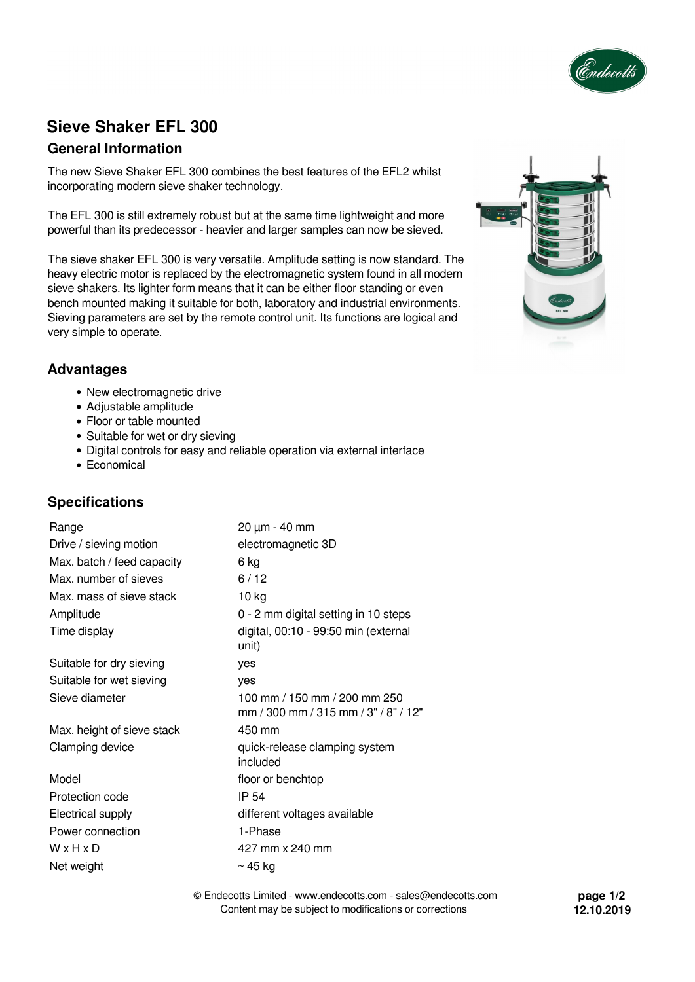

# **Sieve Shaker EFL 300**

# **General Information**

The new Sieve Shaker EFL 300 combines the best features of the EFL2 whilst incorporating modern sieve shaker technology.

The EFL 300 is still extremely robust but at the same time lightweight and more powerful than its predecessor - heavier and larger samples can now be sieved.

The sieve shaker EFL 300 is very versatile. Amplitude setting is now standard. The heavy electric motor is replaced by the electromagnetic system found in all modern sieve shakers. Its lighter form means that it can be either floor standing or even bench mounted making it suitable for both, laboratory and industrial environments. Sieving parameters are set by the remote control unit. Its functions are logical and very simple to operate.



### **Advantages**

- New electromagnetic drive
- Adjustable amplitude
- Floor or table mounted
- Suitable for wet or dry sieving
- Digital controls for easy and reliable operation via external interface
- Economical

# **Specifications**

| Range                      | 20 µm - 40 mm                                                        |
|----------------------------|----------------------------------------------------------------------|
| Drive / sieving motion     | electromagnetic 3D                                                   |
| Max. batch / feed capacity | 6 kg                                                                 |
| Max. number of sieves      | 6/12                                                                 |
| Max. mass of sieve stack   | $10$ kg                                                              |
| Amplitude                  | 0 - 2 mm digital setting in 10 steps                                 |
| Time display               | digital, 00:10 - 99:50 min (external<br>unit)                        |
| Suitable for dry sieving   | yes                                                                  |
| Suitable for wet sieving   | yes                                                                  |
| Sieve diameter             | 100 mm / 150 mm / 200 mm 250<br>mm / 300 mm / 315 mm / 3" / 8" / 12" |
| Max. height of sieve stack | 450 mm                                                               |
| Clamping device            | quick-release clamping system<br>included                            |
| Model                      | floor or benchtop                                                    |
| Protection code            | IP 54                                                                |
| Electrical supply          | different voltages available                                         |
| Power connection           | 1-Phase                                                              |
| WxHxD                      | 427 mm x 240 mm                                                      |
| Net weight                 | $\sim$ 45 kg                                                         |

© Endecotts Limited - www.endecotts.com - sales@endecotts.com Content may be subject to modifications or corrections

**page 1/2 12.10.2019**